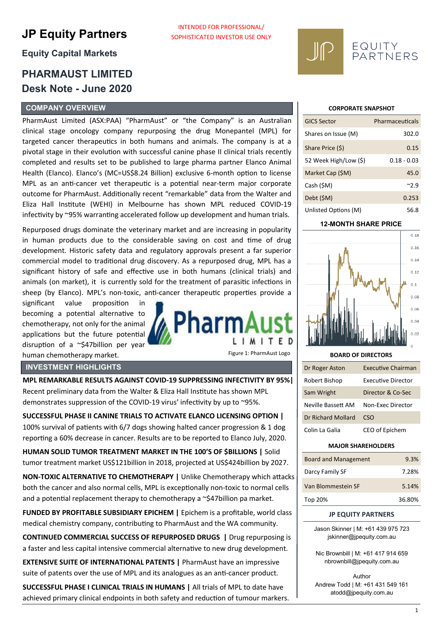# **JP Equity Partners**

# **Equity Capital Markets**

# **PHARMAUST LIMITED Desk Note - June 2020**

# **COMPANY OVERVIEW**

PharmAust Limited (ASX:PAA) "PharmAust" or "the Company" is an Australian clinical stage oncology company repurposing the drug Monepantel (MPL) for targeted cancer therapeutics in both humans and animals. The company is at a pivotal stage in their evolution with successful canine phase II clinical trials recently completed and results set to be published to large pharma partner Elanco Animal Health (Elanco). Elanco's (MC=US\$8.24 Billion) exclusive 6-month option to license MPL as an anti-cancer vet therapeutic is a potential near-term major corporate outcome for PharmAust. Additionally recent "remarkable" data from the Walter and Eliza Hall Institute (WEHI) in Melbourne has shown MPL reduced COVID-19 infectivity by ~95% warranting accelerated follow up development and human trials.

INTENDED FOR PROFESSIONAL/ SOPHISTICATED INVESTOR USE ONLY

Repurposed drugs dominate the veterinary market and are increasing in popularity in human products due to the considerable saving on cost and time of drug development. Historic safety data and regulatory approvals present a far superior commercial model to traditional drug discovery. As a repurposed drug, MPL has a significant history of safe and effective use in both humans (clinical trials) and animals (on market), it is currently sold for the treatment of parasitic infections in sheep (by Elanco). MPL's non-toxic, anti-cancer therapeutic properties provide a

significant value proposition in becoming a potential alternative to chemotherapy, not only for the animal applications but the future potential disruption of a ~\$47billion per year human chemotherapy market.

# **INVESTMENT HIGHLIGHTS**

**MPL REMARKABLE RESULTS AGAINST COVID-19 SUPPRESSING INFECTIVITY BY 95%|**  Recent preliminary data from the Walter & Eliza Hall Institute has shown MPL demonstrates suppression of the COVID-19 virus' infectivity by up to ~95%.

**SUCCESSFUL PHASE II CANINE TRIALS TO ACTIVATE ELANCO LICENSING OPTION |**  100% survival of patients with 6/7 dogs showing halted cancer progression & 1 dog reporting a 60% decrease in cancer. Results are to be reported to Elanco July, 2020.

**HUMAN SOLID TUMOR TREATMENT MARKET IN THE 100'S OF \$BILLIONS |** Solid tumor treatment market US\$121billion in 2018, projected at US\$424billion by 2027.

**NON-TOXIC ALTERNATIVE TO CHEMOTHERAPY |** Unlike Chemotherapy which attacks both the cancer and also normal cells, MPL is exceptionally non-toxic to normal cells and a potential replacement therapy to chemotherapy a ~\$47billion pa market.

**FUNDED BY PROFITABLE SUBSIDIARY EPICHEM |** Epichem is a profitable, world class medical chemistry company, contributing to PharmAust and the WA community.

**CONTINUED COMMERCIAL SUCCESS OF REPURPOSED DRUGS |** Drug repurposing is a faster and less capital intensive commercial alternative to new drug development.

**EXTENSIVE SUITE OF INTERNATIONAL PATENTS | PharmAust have an impressive** suite of patents over the use of MPL and its analogues as an anti-cancer product.

**SUCCESSFUL PHASE I CLINICAL TRIALS IN HUMANS |** All trials of MPL to date have achieved primary clinical endpoints in both safety and reduction of tumour markers.

#### **CORPORATE SNAPSHOT**

EQUITY<br>PARTNERS

| <b>GICS Sector</b>    | Pharmaceuticals |
|-----------------------|-----------------|
| Shares on Issue (M)   | 302.0           |
| Share Price (\$)      | 0.15            |
| 52 Week High/Low (\$) | $0.18 - 0.03$   |
| Market Cap (\$M)      | 45.0            |
| Cash (\$M)            | $^{\sim}$ 2.9   |
| Debt (\$M)            | 0.253           |
| Unlisted Options (M)  | 56.8            |

# **12-MONTH SHARE PRICE**



#### **BOARD OF DIRECTORS**

Figure 1: PharmAust Logo

IMITED

narm

| Dr Roger Aston     | <b>Executive Chairman</b> |
|--------------------|---------------------------|
| Robert Bishop      | Executive Director        |
| Sam Wright         | Director & Co-Sec         |
| Neville Bassett AM | Non-Exec Director         |
| Dr Richard Mollard | rsn                       |
| Colin La Galia     | CEO of Epichem            |

#### **MAJOR SHAREHOLDERS**

| Board and Management | 9.3%   |
|----------------------|--------|
| Darcy Family SF      | 7.28%  |
| Van Blommestein SF   | 5.14%  |
| Top 20%              | 36.80% |

#### **JP EQUITY PARTNERS**

Jason Skinner | M: +61 439 975 723 jskinner@jpequity.com.au

Nic Brownbill | M: +61 417 914 659 nbrownbill@jpequity.com.au

Author Andrew Todd | M: +61 431 549 161 atodd@jpequity.com.au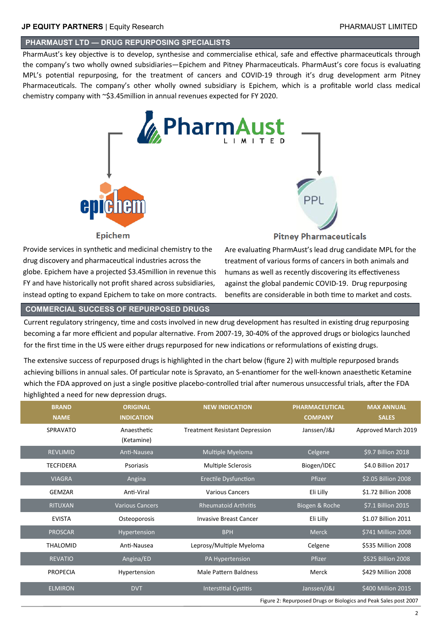# **PHARMAUST LTD — DRUG REPURPOSING SPECIALISTS**

PharmAust's key objective is to develop, synthesise and commercialise ethical, safe and effective pharmaceuticals through the company's two wholly owned subsidiaries—Epichem and Pitney Pharmaceuticals. PharmAust's core focus is evaluating MPL's potential repurposing, for the treatment of cancers and COVID-19 through it's drug development arm Pitney Pharmaceuticals. The company's other wholly owned subsidiary is Epichem, which is a profitable world class medical chemistry company with ~\$3.45million in annual revenues expected for FY 2020.



Provide services in synthetic and medicinal chemistry to the drug discovery and pharmaceutical industries across the globe. Epichem have a projected \$3.45million in revenue this FY and have historically not profit shared across subsidiaries, instead opting to expand Epichem to take on more contracts.

# **Pitney Pharmaceuticals**

Are evaluating PharmAust's lead drug candidate MPL for the treatment of various forms of cancers in both animals and humans as well as recently discovering its effectiveness against the global pandemic COVID-19. Drug repurposing benefits are considerable in both time to market and costs.

#### **COMMERCIAL SUCCESS OF REPURPOSED DRUGS**

Current regulatory stringency, time and costs involved in new drug development has resulted in existing drug repurposing becoming a far more efficient and popular alternative. From 2007-19, 30-40% of the approved drugs or biologics launched for the first time in the US were either drugs repurposed for new indications or reformulations of existing drugs.

The extensive success of repurposed drugs is highlighted in the chart below (figure 2) with multiple repurposed brands achieving billions in annual sales. Of particular note is Spravato, an S-enantiomer for the well-known anaesthetic Ketamine which the FDA approved on just a single positive placebo-controlled trial after numerous unsuccessful trials, after the FDA highlighted a need for new depression drugs.

| <b>BRAND</b>     | <b>ORIGINAL</b>           | <b>NEW INDICATION</b>                 | <b>PHARMACEUTICAL</b> | <b>MAX ANNUAL</b>                                                |
|------------------|---------------------------|---------------------------------------|-----------------------|------------------------------------------------------------------|
| <b>NAME</b>      | <b>INDICATION</b>         |                                       | <b>COMPANY</b>        | <b>SALES</b>                                                     |
| <b>SPRAVATO</b>  | Anaesthetic<br>(Ketamine) | <b>Treatment Resistant Depression</b> | Janssen/J&J           | Approved March 2019                                              |
| <b>REVLIMID</b>  | Anti-Nausea               | Multiple Myeloma                      | Celgene               | \$9.7 Billion 2018                                               |
| <b>TECFIDERA</b> | Psoriasis                 | <b>Multiple Sclerosis</b>             | Biogen/IDEC           | \$4.0 Billion 2017                                               |
| <b>VIAGRA</b>    | Angina                    | <b>Erectile Dysfunction</b>           | Pfizer                | \$2.05 Billion 2008                                              |
| GEMZAR           | Anti-Viral                | <b>Various Cancers</b>                | Eli Lilly             | \$1.72 Billion 2008                                              |
| <b>RITUXAN</b>   | <b>Various Cancers</b>    | <b>Rheumatoid Arthritis</b>           | Biogen & Roche        | \$7.1 Billion 2015                                               |
| <b>EVISTA</b>    | Osteoporosis              | <b>Invasive Breast Cancer</b>         | Eli Lilly             | \$1.07 Billion 2011                                              |
| <b>PROSCAR</b>   | Hypertension              | <b>BPH</b>                            | <b>Merck</b>          | \$741 Million 2008                                               |
| <b>THALOMID</b>  | Anti-Nausea               | Leprosy/Multiple Myeloma              | Celgene               | \$535 Million 2008                                               |
| <b>REVATIO</b>   | Angina/ED                 | PA Hypertension                       | Pfizer                | \$525 Billion 2008                                               |
| <b>PROPECIA</b>  | Hypertension              | <b>Male Pattern Baldness</b>          | Merck                 | \$429 Million 2008                                               |
| <b>ELMIRON</b>   | <b>DVT</b>                | <b>Interstitial Cystitis</b>          | Janssen/J&J           | \$400 Million 2015                                               |
|                  |                           |                                       |                       | Figure 2: Repurposed Drugs or Biologics and Peak Sales post 2007 |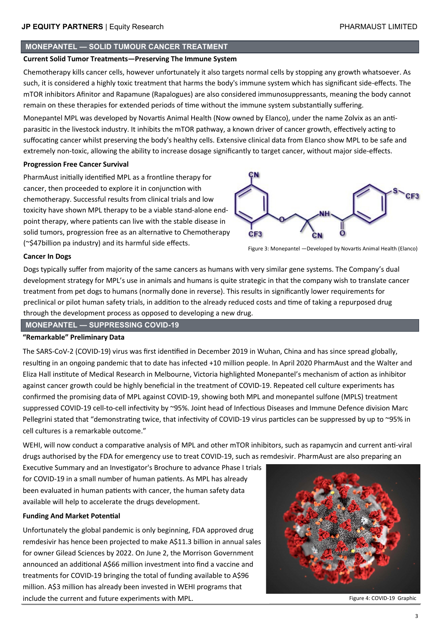# **MONEPANTEL — SOLID TUMOUR CANCER TREATMENT**

#### **Current Solid Tumor Treatments—Preserving The Immune System**

Chemotherapy kills cancer cells, however unfortunately it also targets normal cells by stopping any growth whatsoever. As such, it is considered a highly toxic treatment that harms the body's immune system which has significant side-effects. The mTOR inhibitors Afinitor and Rapamune (Rapalogues) are also considered immunosuppressants, meaning the body cannot remain on these therapies for extended periods of time without the immune system substantially suffering.

Monepantel MPL was developed by Novartis Animal Health (Now owned by Elanco), under the name Zolvix as an antiparasitic in the livestock industry. It inhibits the mTOR pathway, a known driver of cancer growth, effectively acting to suffocating cancer whilst preserving the body's healthy cells. Extensive clinical data from Elanco show MPL to be safe and extremely non-toxic, allowing the ability to increase dosage significantly to target cancer, without major side-effects.

#### **Progression Free Cancer Survival**

PharmAust initially identified MPL as a frontline therapy for cancer, then proceeded to explore it in conjunction with chemotherapy. Successful results from clinical trials and low toxicity have shown MPL therapy to be a viable stand-alone endpoint therapy, where patients can live with the stable disease in solid tumors, progression free as an alternative to Chemotherapy (~\$47billion pa industry) and its harmful side effects.



Figure 3: Monepantel —Developed by Novartis Animal Health (Elanco)

#### **Cancer In Dogs**

Dogs typically suffer from majority of the same cancers as humans with very similar gene systems. The Company's dual development strategy for MPL's use in animals and humans is quite strategic in that the company wish to translate cancer treatment from pet dogs to humans (normally done in reverse). This results in significantly lower requirements for preclinical or pilot human safety trials, in addition to the already reduced costs and time of taking a repurposed drug through the development process as opposed to developing a new drug.

**MONEPANTEL — SUPPRESSING COVID-19**

#### **"Remarkable" Preliminary Data**

The SARS-CoV-2 (COVID-19) virus was first identified in December 2019 in Wuhan, China and has since spread globally, resulting in an ongoing pandemic that to date has infected +10 million people. In April 2020 PharmAust and the Walter and Eliza Hall institute of Medical Research in Melbourne, Victoria highlighted Monepantel's mechanism of action as inhibitor against cancer growth could be highly beneficial in the treatment of COVID-19. Repeated cell culture experiments has confirmed the promising data of MPL against COVID-19, showing both MPL and monepantel sulfone (MPLS) treatment suppressed COVID-19 cell-to-cell infectivity by ~95%. Joint head of Infectious Diseases and Immune Defence division Marc Pellegrini stated that "demonstrating twice, that infectivity of COVID-19 virus particles can be suppressed by up to ~95% in cell cultures is a remarkable outcome."

WEHI, will now conduct a comparative analysis of MPL and other mTOR inhibitors, such as rapamycin and current anti-viral drugs authorised by the FDA for emergency use to treat COVID-19, such as remdesivir. PharmAust are also preparing an

Executive Summary and an Investigator's Brochure to advance Phase I trials for COVID-19 in a small number of human patients. As MPL has already been evaluated in human patients with cancer, the human safety data available will help to accelerate the drugs development.

#### **Funding And Market Potential**

Unfortunately the global pandemic is only beginning, FDA approved drug remdesivir has hence been projected to make A\$11.3 billion in annual sales for owner Gilead Sciences by 2022. On June 2, the Morrison Government announced an additional A\$66 million investment into find a vaccine and treatments for COVID-19 bringing the total of funding available to A\$96 million. A\$3 million has already been invested in WEHI programs that include the current and future experiments with MPL.



Figure 4: COVID-19 Graphic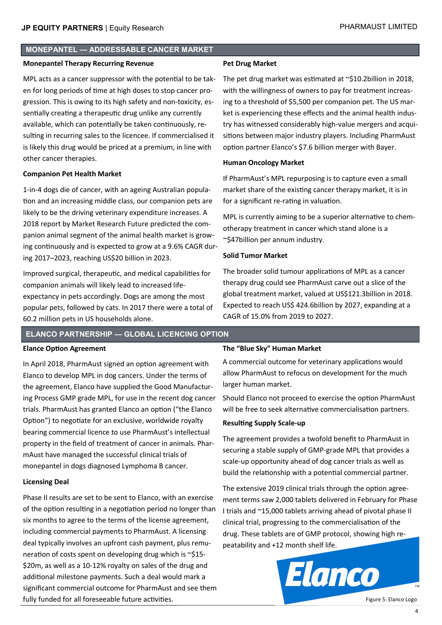# **MONEPANTEL — ADDRESSABLE CANCER MARKET**

#### **Monepantel Therapy Recurring Revenue**

MPL acts as a cancer suppressor with the potential to be taken for long periods of time at high doses to stop cancer progression. This is owing to its high safety and non-toxicity, essentially creating a therapeutic drug unlike any currently available, which can potentially be taken continuously, resulting in recurring sales to the licencee. If commercialised it is likely this drug would be priced at a premium, in line with other cancer therapies.

#### **Companion Pet Health Market**

1-in-4 dogs die of cancer, with an ageing Australian population and an increasing middle class, our companion pets are likely to be the driving veterinary expenditure increases. A 2018 report by Market Research Future predicted the companion animal segment of the animal health market is growing continuously and is expected to grow at a 9.6% CAGR during 2017–2023, reaching US\$20 billion in 2023.

Improved surgical, therapeutic, and medical capabilities for companion animals will likely lead to increased lifeexpectancy in pets accordingly. Dogs are among the most popular pets, followed by cats. In 2017 there were a total of 60.2 million pets in US households alone.

# **Pet Drug Market**

The pet drug market was estimated at ~\$10.2billion in 2018, with the willingness of owners to pay for treatment increasing to a threshold of \$5,500 per companion pet. The US market is experiencing these effects and the animal health industry has witnessed considerably high-value mergers and acquisitions between major industry players. Including PharmAust option partner Elanco's \$7.6 billion merger with Bayer.

#### **Human Oncology Market**

If PharmAust's MPL repurposing is to capture even a small market share of the existing cancer therapy market, it is in for a significant re-rating in valuation.

MPL is currently aiming to be a superior alternative to chemotherapy treatment in cancer which stand alone is a ~\$47billion per annum industry.

### **Solid Tumor Market**

The broader solid tumour applications of MPL as a cancer therapy drug could see PharmAust carve out a slice of the global treatment market, valued at US\$121.3billion in 2018. Expected to reach US\$ 424.6billion by 2027, expanding at a CAGR of 15.0% from 2019 to 2027.

# **ELANCO PARTNERSHIP — GLOBAL LICENCING OPTION**

#### **Elance Option Agreement**

In April 2018, PharmAust signed an option agreement with Elanco to develop MPL in dog cancers. Under the terms of the agreement, Elanco have supplied the Good Manufacturing Process GMP grade MPL, for use in the recent dog cancer trials. PharmAust has granted Elanco an option ("the Elanco Option") to negotiate for an exclusive, worldwide royalty bearing commercial licence to use PharmAust's intellectual property in the field of treatment of cancer in animals. PharmAust have managed the successful clinical trials of monepantel in dogs diagnosed Lymphoma B cancer.

#### **Licensing Deal**

Phase II results are set to be sent to Elanco, with an exercise of the option resulting in a negotiation period no longer than six months to agree to the terms of the license agreement, including commercial payments to PharmAust. A licensing deal typically involves an upfront cash payment, plus remuneration of costs spent on developing drug which is ~\$15- \$20m, as well as a 10-12% royalty on sales of the drug and additional milestone payments. Such a deal would mark a significant commercial outcome for PharmAust and see them fully funded for all foreseeable future activities.

# **The "Blue Sky" Human Market**

A commercial outcome for veterinary applications would allow PharmAust to refocus on development for the much larger human market.

Should Elanco not proceed to exercise the option PharmAust will be free to seek alternative commercialisation partners.

#### **Resulting Supply Scale-up**

The agreement provides a twofold benefit to PharmAust in securing a stable supply of GMP-grade MPL that provides a scale-up opportunity ahead of dog cancer trials as well as build the relationship with a potential commercial partner.

The extensive 2019 clinical trials through the option agreement terms saw 2,000 tablets delivered in February for Phase I trials and ~15,000 tablets arriving ahead of pivotal phase II clinical trial, progressing to the commercialisation of the drug. These tablets are of GMP protocol, showing high repeatability and +12 month shelf life.



Figure 5: Elanco Logo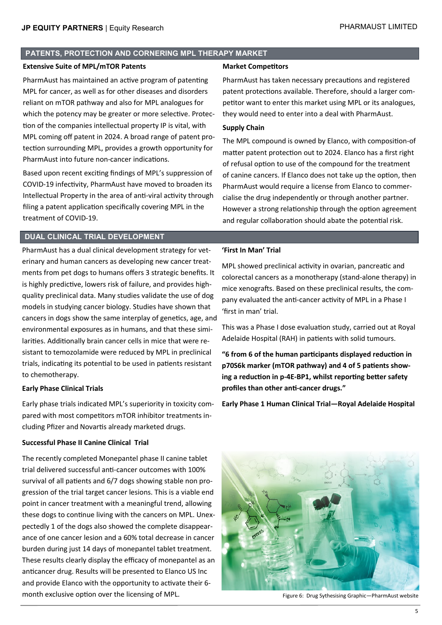### **PATENTS, PROTECTION AND CORNERING MPL THERAPY MARKET**

#### **Extensive Suite of MPL/mTOR Patents**

PharmAust has maintained an active program of patenting MPL for cancer, as well as for other diseases and disorders reliant on mTOR pathway and also for MPL analogues for which the potency may be greater or more selective. Protection of the companies intellectual property IP is vital, with MPL coming off patent in 2024. A broad range of patent protection surrounding MPL, provides a growth opportunity for PharmAust into future non-cancer indications.

Based upon recent exciting findings of MPL's suppression of COVID-19 infectivity, PharmAust have moved to broaden its Intellectual Property in the area of anti-viral activity through filing a patent application specifically covering MPL in the treatment of COVID-19.

# **DUAL CLINICAL TRIAL DEVELOPMENT**

PharmAust has a dual clinical development strategy for veterinary and human cancers as developing new cancer treatments from pet dogs to humans offers 3 strategic benefits. It is highly predictive, lowers risk of failure, and provides highquality preclinical data. Many studies validate the use of dog models in studying cancer biology. Studies have shown that cancers in dogs show the same interplay of genetics, age, and environmental exposures as in humans, and that these similarities. Additionally brain cancer cells in mice that were resistant to temozolamide were reduced by MPL in preclinical trials, indicating its potential to be used in patients resistant to chemotherapy.

#### **Early Phase Clinical Trials**

Early phase trials indicated MPL's superiority in toxicity compared with most competitors mTOR inhibitor treatments including Pfizer and Novartis already marketed drugs.

#### **Successful Phase II Canine Clinical Trial**

The recently completed Monepantel phase II canine tablet trial delivered successful anti-cancer outcomes with 100% survival of all patients and 6/7 dogs showing stable non progression of the trial target cancer lesions. This is a viable end point in cancer treatment with a meaningful trend, allowing these dogs to continue living with the cancers on MPL. Unexpectedly 1 of the dogs also showed the complete disappearance of one cancer lesion and a 60% total decrease in cancer burden during just 14 days of monepantel tablet treatment. These results clearly display the efficacy of monepantel as an anticancer drug. Results will be presented to Elanco US Inc and provide Elanco with the opportunity to activate their 6 month exclusive option over the licensing of MPL.

#### **Market Competitors**

PharmAust has taken necessary precautions and registered patent protections available. Therefore, should a larger competitor want to enter this market using MPL or its analogues, they would need to enter into a deal with PharmAust.

# **Supply Chain**

The MPL compound is owned by Elanco, with composition-of matter patent protection out to 2024. Elanco has a first right of refusal option to use of the compound for the treatment of canine cancers. If Elanco does not take up the option, then PharmAust would require a license from Elanco to commercialise the drug independently or through another partner. However a strong relationship through the option agreement and regular collaboration should abate the potential risk.

#### **'First In Man' Trial**

MPL showed preclinical activity in ovarian, pancreatic and colorectal cancers as a monotherapy (stand-alone therapy) in mice xenografts. Based on these preclinical results, the company evaluated the anti-cancer activity of MPL in a Phase I 'first in man' trial.

This was a Phase I dose evaluation study, carried out at Royal Adelaide Hospital (RAH) in patients with solid tumours.

**"6 from 6 of the human participants displayed reduction in p70S6k marker (mTOR pathway) and 4 of 5 patients showing a reduction in p-4E-BP1, whilst reporting better safety profiles than other anti-cancer drugs."**

**Early Phase 1 Human Clinical Trial—Royal Adelaide Hospital**



Figure 6: Drug Sythesising Graphic—PharmAust website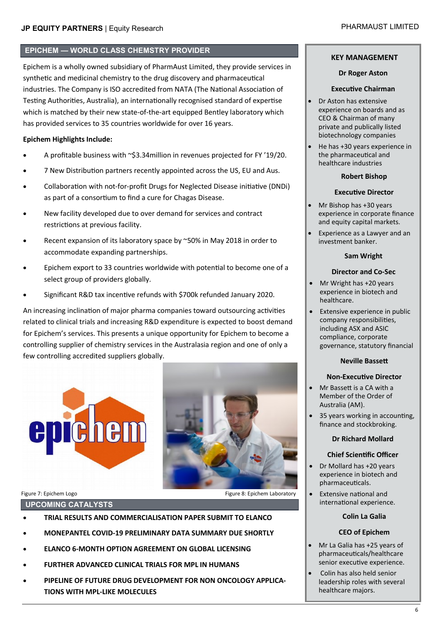# **EPICHEM — WORLD CLASS CHEMSTRY PROVIDER**

Epichem is a wholly owned subsidiary of PharmAust Limited, they provide services in synthetic and medicinal chemistry to the drug discovery and pharmaceutical industries. The Company is ISO accredited from NATA (The National Association of Testing Authorities, Australia), an internationally recognised standard of expertise which is matched by their new state-of-the-art equipped Bentley laboratory which has provided services to 35 countries worldwide for over 16 years.

# **Epichem Highlights Include:**

- A profitable business with ~\$3.34million in revenues projected for FY '19/20.
- 7 New Distribution partners recently appointed across the US, EU and Aus.
- Collaboration with not-for-profit Drugs for Neglected Disease initiative (DNDi) as part of a consortium to find a cure for Chagas Disease.
- New facility developed due to over demand for services and contract restrictions at previous facility.
- Recent expansion of its laboratory space by ~50% in May 2018 in order to accommodate expanding partnerships.
- Epichem export to 33 countries worldwide with potential to become one of a select group of providers globally.
- Significant R&D tax incentive refunds with \$700k refunded January 2020.

An increasing inclination of major pharma companies toward outsourcing activities related to clinical trials and increasing R&D expenditure is expected to boost demand for Epichem's services. This presents a unique opportunity for Epichem to become a controlling supplier of chemistry services in the Australasia region and one of only a few controlling accredited suppliers globally.



# **UPCOMING CATALYSTS**

- **TRIAL RESULTS AND COMMERCIALISATION PAPER SUBMIT TO ELANCO**
- **MONEPANTEL COVID-19 PRELIMINARY DATA SUMMARY DUE SHORTLY**
- **ELANCO 6-MONTH OPTION AGREEMENT ON GLOBAL LICENSING**
- **FURTHER ADVANCED CLINICAL TRIALS FOR MPL IN HUMANS**
- **PIPELINE OF FUTURE DRUG DEVELOPMENT FOR NON ONCOLOGY APPLICA-TIONS WITH MPL-LIKE MOLECULES**

# **KEY MANAGEMENT**

#### **Dr Roger Aston**

#### **Executive Chairman**

- Dr Aston has extensive experience on boards and as CEO & Chairman of many private and publically listed biotechnology companies
- He has +30 years experience in the pharmaceutical and healthcare industries

#### **Robert Bishop**

### **Executive Director**

- and equity capital markets. • Mr Bishop has +30 years experience in corporate finance
- Experience as a Lawyer and an investment banker.

#### **Sam Wright**

# **Director and Co-Sec**

- Mr Wright has +20 years experience in biotech and healthcare.
- Extensive experience in public company responsibilities, including ASX and ASIC compliance, corporate governance, statutory financial

#### **Neville Bassett**

# **Non-Executive Director**

- Mr Bassett is a CA with a Member of the Order of Australia (AM).
- 35 years working in accounting, finance and stockbroking.

# **Dr Richard Mollard**

# **Chief Scientific Officer**

- Dr Mollard has +20 years experience in biotech and pharmaceuticals.
- Extensive national and international experience.

#### **Colin La Galia**

#### **CEO of Epichem**

- Mr La Galia has +25 years of pharmaceuticals/healthcare senior executive experience.
- Colin has also held senior leadership roles with several healthcare majors.